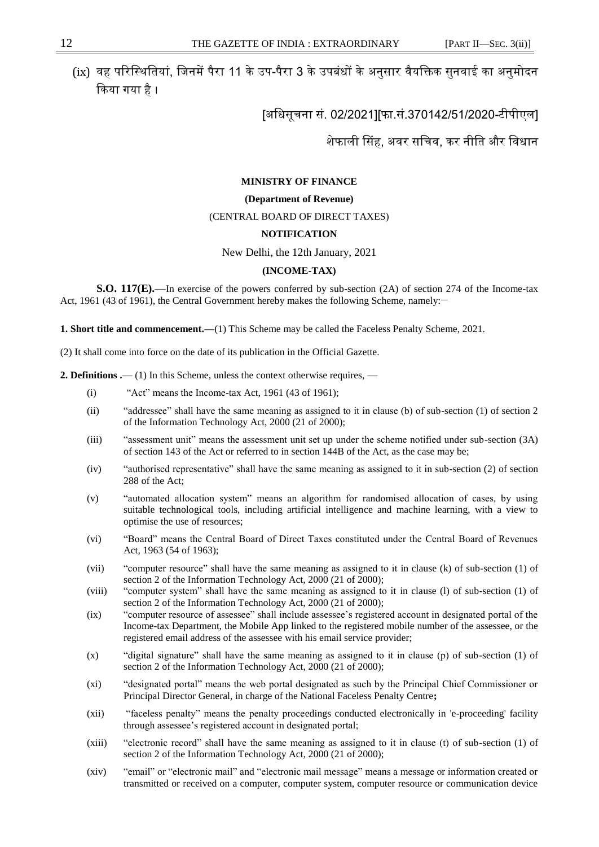### **MINISTRY OF FINANCE**

### **(Department of Revenue)**

### (CENTRAL BOARD OF DIRECT TAXES)

## **NOTIFICATION**

## New Delhi, the 12th January, 2021

## **(INCOME-TAX)**

**S.O. 117(E).**—In exercise of the powers conferred by sub-section (2A) of section 274 of the Income-tax Act, 1961 (43 of 1961), the Central Government hereby makes the following Scheme, namely:

**1. Short title and commencement.——**(1) This Scheme may be called the Faceless Penalty Scheme, 2021.

(2) It shall come into force on the date of its publication in the Official Gazette.

**2. Definitions .——** (1) In this Scheme, unless the context otherwise requires, —

- (i) "Act" means the Income-tax Act,  $1961 (43 of 1961);$
- (ii) "addressee" shall have the same meaning as assigned to it in clause (b) of sub-section (1) of section 2 of the Information Technology Act, 2000 (21 of 2000);
- (iii) "assessment unit" means the assessment unit set up under the scheme notified under sub-section (3A) of section 143 of the Act or referred to in section 144B of the Act, as the case may be;
- (iv) "authorised representative" shall have the same meaning as assigned to it in sub-section (2) of section 288 of the Act;
- (v) "automated allocation system" means an algorithm for randomised allocation of cases, by using suitable technological tools, including artificial intelligence and machine learning, with a view to optimise the use of resources;
- (vi) "Board" means the Central Board of Direct Taxes constituted under the Central Board of Revenues Act, 1963 (54 of 1963);
- (vii) "computer resource" shall have the same meaning as assigned to it in clause (k) of sub-section (1) of section 2 of the Information Technology Act, 2000 (21 of 2000);
- (viii) "computer system" shall have the same meaning as assigned to it in clause (l) of sub-section (1) of section 2 of the Information Technology Act, 2000 (21 of 2000);
- (ix) "computer resource of assessee" shall include assessee's registered account in designated portal of the Income-tax Department, the Mobile App linked to the registered mobile number of the assessee, or the registered email address of the assessee with his email service provider;
- (x) "digital signature" shall have the same meaning as assigned to it in clause (p) of sub-section (1) of section 2 of the Information Technology Act, 2000 (21 of 2000);
- (xi) "designated portal" means the web portal designated as such by the Principal Chief Commissioner or Principal Director General, in charge of the National Faceless Penalty Centre**;**
- (xii) "faceless penalty" means the penalty proceedings conducted electronically in 'e-proceeding' facility through assessee's registered account in designated portal;
- (xiii) "electronic record" shall have the same meaning as assigned to it in clause (t) of sub-section (1) of section 2 of the Information Technology Act, 2000 (21 of 2000);
- (xiv) "email" or "electronic mail" and "electronic mail message" means a message or information created or transmitted or received on a computer, computer system, computer resource or communication device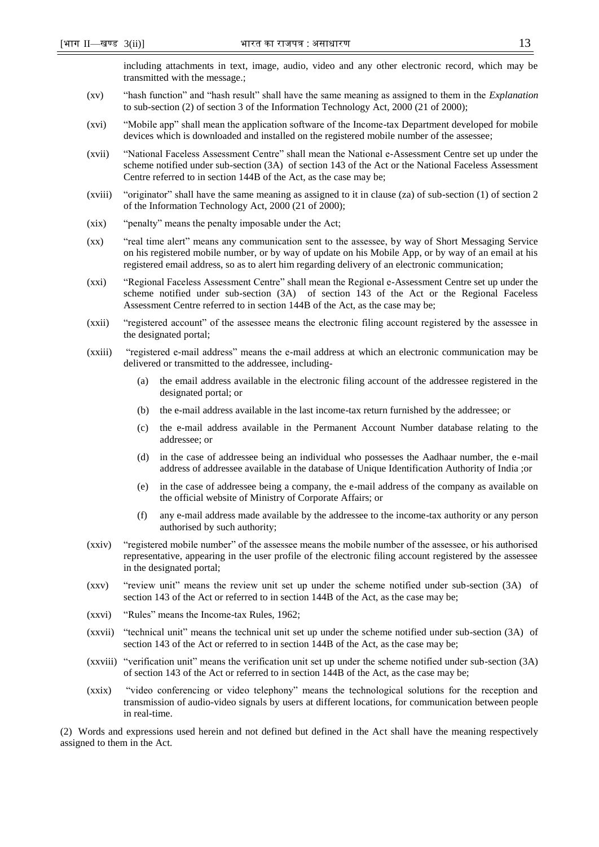including attachments in text, image, audio, video and any other electronic record, which may be transmitted with the message.;

- (xv) "hash function" and "hash result" shall have the same meaning as assigned to them in the *Explanation* to sub-section (2) of section 3 of the Information Technology Act, 2000 (21 of 2000);
- (xvi) "Mobile app" shall mean the application software of the Income-tax Department developed for mobile devices which is downloaded and installed on the registered mobile number of the assessee;
- (xvii) "National Faceless Assessment Centre" shall mean the National e-Assessment Centre set up under the scheme notified under sub-section (3A) of section 143 of the Act or the National Faceless Assessment Centre referred to in section 144B of the Act, as the case may be;
- (xviii) "originator" shall have the same meaning as assigned to it in clause (za) of sub-section (1) of section 2 of the Information Technology Act, 2000 (21 of 2000);
- (xix) "penalty" means the penalty imposable under the Act;
- (xx) "real time alert" means any communication sent to the assessee, by way of Short Messaging Service on his registered mobile number, or by way of update on his Mobile App, or by way of an email at his registered email address, so as to alert him regarding delivery of an electronic communication;
- (xxi) "Regional Faceless Assessment Centre" shall mean the Regional e-Assessment Centre set up under the scheme notified under sub-section (3A) of section 143 of the Act or the Regional Faceless Assessment Centre referred to in section 144B of the Act, as the case may be;
- (xxii) "registered account" of the assessee means the electronic filing account registered by the assessee in the designated portal;
- (xxiii) "registered e-mail address" means the e-mail address at which an electronic communication may be delivered or transmitted to the addressee, including-
	- (a) the email address available in the electronic filing account of the addressee registered in the designated portal; or
	- (b) the e-mail address available in the last income-tax return furnished by the addressee; or
	- (c) the e-mail address available in the Permanent Account Number database relating to the addressee; or
	- (d) in the case of addressee being an individual who possesses the Aadhaar number, the e-mail address of addressee available in the database of Unique Identification Authority of India ;or
	- (e) in the case of addressee being a company, the e-mail address of the company as available on the official website of Ministry of Corporate Affairs; or
	- (f) any e-mail address made available by the addressee to the income-tax authority or any person authorised by such authority;
- (xxiv) "registered mobile number" of the assessee means the mobile number of the assessee, or his authorised representative, appearing in the user profile of the electronic filing account registered by the assessee in the designated portal;
- (xxv) "review unit" means the review unit set up under the scheme notified under sub-section (3A) of section 143 of the Act or referred to in section 144B of the Act, as the case may be;
- (xxvi) "Rules" means the Income-tax Rules, 1962;
- (xxvii) "technical unit" means the technical unit set up under the scheme notified under sub-section (3A) of section 143 of the Act or referred to in section 144B of the Act, as the case may be;
- (xxviii) "verification unit" means the verification unit set up under the scheme notified under sub-section (3A) of section 143 of the Act or referred to in section 144B of the Act, as the case may be;
- (xxix) "video conferencing or video telephony" means the technological solutions for the reception and transmission of [audio](https://en.wikipedia.org/wiki/Audio_signal)[-video](https://en.wikipedia.org/wiki/Video) signals by users at different locations, for communication between people in real-time.

(2) Words and expressions used herein and not defined but defined in the Act shall have the meaning respectively assigned to them in the Act.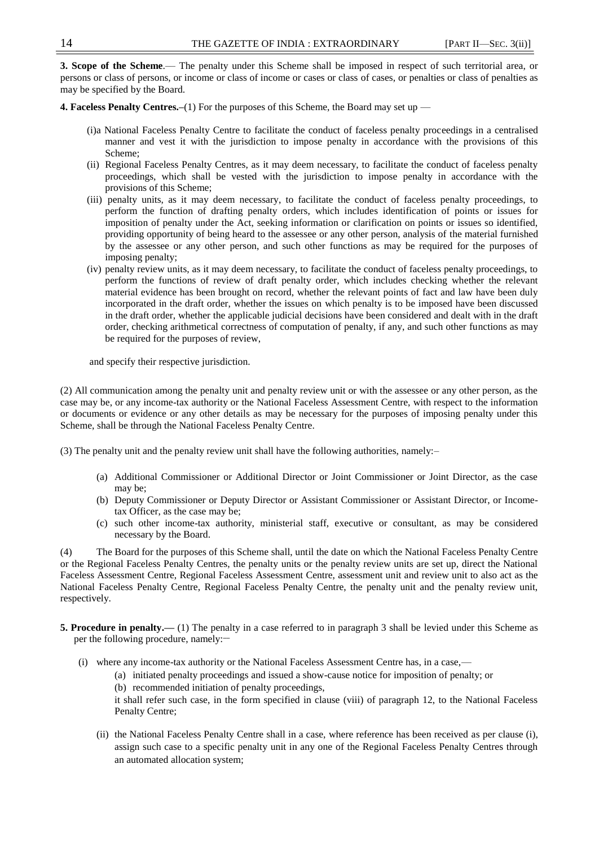**3. Scope of the Scheme**.–– The penalty under this Scheme shall be imposed in respect of such territorial area, or persons or class of persons, or income or class of income or cases or class of cases, or penalties or class of penalties as may be specified by the Board.

**4. Faceless Penalty Centres.–**(1) For the purposes of this Scheme, the Board may set up —

- (i)a National Faceless Penalty Centre to facilitate the conduct of faceless penalty proceedings in a centralised manner and vest it with the jurisdiction to impose penalty in accordance with the provisions of this Scheme;
- (ii) Regional Faceless Penalty Centres, as it may deem necessary, to facilitate the conduct of faceless penalty proceedings, which shall be vested with the jurisdiction to impose penalty in accordance with the provisions of this Scheme;
- (iii) penalty units, as it may deem necessary, to facilitate the conduct of faceless penalty proceedings, to perform the function of drafting penalty orders, which includes identification of points or issues for imposition of penalty under the Act, seeking information or clarification on points or issues so identified, providing opportunity of being heard to the assessee or any other person, analysis of the material furnished by the assessee or any other person, and such other functions as may be required for the purposes of imposing penalty;
- (iv) penalty review units, as it may deem necessary, to facilitate the conduct of faceless penalty proceedings, to perform the functions of review of draft penalty order, which includes checking whether the relevant material evidence has been brought on record, whether the relevant points of fact and law have been duly incorporated in the draft order, whether the issues on which penalty is to be imposed have been discussed in the draft order, whether the applicable judicial decisions have been considered and dealt with in the draft order, checking arithmetical correctness of computation of penalty, if any, and such other functions as may be required for the purposes of review,

and specify their respective jurisdiction.

(2) All communication among the penalty unit and penalty review unit or with the assessee or any other person, as the case may be, or any income-tax authority or the National Faceless Assessment Centre, with respect to the information or documents or evidence or any other details as may be necessary for the purposes of imposing penalty under this Scheme, shall be through the National Faceless Penalty Centre.

(3) The penalty unit and the penalty review unit shall have the following authorities, namely:–

- (a) Additional Commissioner or Additional Director or Joint Commissioner or Joint Director, as the case may be;
- (b) Deputy Commissioner or Deputy Director or Assistant Commissioner or Assistant Director, or Incometax Officer, as the case may be;
- (c) such other income-tax authority, ministerial staff, executive or consultant, as may be considered necessary by the Board.

(4) The Board for the purposes of this Scheme shall, until the date on which the National Faceless Penalty Centre or the Regional Faceless Penalty Centres, the penalty units or the penalty review units are set up, direct the National Faceless Assessment Centre, Regional Faceless Assessment Centre, assessment unit and review unit to also act as the National Faceless Penalty Centre, Regional Faceless Penalty Centre, the penalty unit and the penalty review unit, respectively.

- **5. Procedure in penalty.**——(1) The penalty in a case referred to in paragraph 3 shall be levied under this Scheme as per the following procedure, namely:
	- (i) where any income-tax authority or the National Faceless Assessment Centre has, in a case,—
		- (a) initiated penalty proceedings and issued a show-cause notice for imposition of penalty; or (b) recommended initiation of penalty proceedings,

it shall refer such case, in the form specified in clause (viii) of paragraph 12, to the National Faceless Penalty Centre;

(ii) the National Faceless Penalty Centre shall in a case, where reference has been received as per clause (i), assign such case to a specific penalty unit in any one of the Regional Faceless Penalty Centres through an automated allocation system;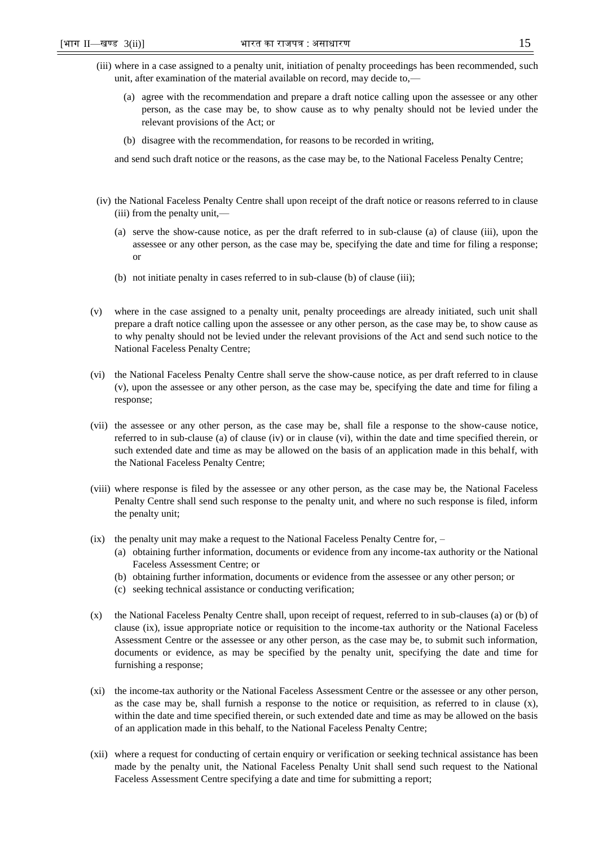- (iii) where in a case assigned to a penalty unit, initiation of penalty proceedings has been recommended, such unit, after examination of the material available on record, may decide to,-
	- (a) agree with the recommendation and prepare a draft notice calling upon the assessee or any other person, as the case may be, to show cause as to why penalty should not be levied under the relevant provisions of the Act; or
	- (b) disagree with the recommendation, for reasons to be recorded in writing,

and send such draft notice or the reasons, as the case may be, to the National Faceless Penalty Centre;

- (iv) the National Faceless Penalty Centre shall upon receipt of the draft notice or reasons referred to in clause (iii) from the penalty unit,—
	- (a) serve the show-cause notice, as per the draft referred to in sub-clause (a) of clause (iii), upon the assessee or any other person, as the case may be, specifying the date and time for filing a response; or
	- (b) not initiate penalty in cases referred to in sub-clause (b) of clause (iii);
- (v) where in the case assigned to a penalty unit, penalty proceedings are already initiated, such unit shall prepare a draft notice calling upon the assessee or any other person, as the case may be, to show cause as to why penalty should not be levied under the relevant provisions of the Act and send such notice to the National Faceless Penalty Centre;
- (vi) the National Faceless Penalty Centre shall serve the show-cause notice, as per draft referred to in clause (v), upon the assessee or any other person, as the case may be, specifying the date and time for filing a response;
- (vii) the assessee or any other person, as the case may be, shall file a response to the show-cause notice, referred to in sub-clause (a) of clause (iv) or in clause (vi), within the date and time specified therein, or such extended date and time as may be allowed on the basis of an application made in this behalf, with the National Faceless Penalty Centre;
- (viii) where response is filed by the assessee or any other person, as the case may be, the National Faceless Penalty Centre shall send such response to the penalty unit, and where no such response is filed, inform the penalty unit;
- (ix) the penalty unit may make a request to the National Faceless Penalty Centre for,
	- (a) obtaining further information, documents or evidence from any income-tax authority or the National Faceless Assessment Centre; or
	- (b) obtaining further information, documents or evidence from the assessee or any other person; or
	- (c) seeking technical assistance or conducting verification;
- (x) the National Faceless Penalty Centre shall, upon receipt of request, referred to in sub-clauses (a) or (b) of clause (ix), issue appropriate notice or requisition to the income-tax authority or the National Faceless Assessment Centre or the assessee or any other person, as the case may be, to submit such information, documents or evidence, as may be specified by the penalty unit, specifying the date and time for furnishing a response;
- (xi) the income-tax authority or the National Faceless Assessment Centre or the assessee or any other person, as the case may be, shall furnish a response to the notice or requisition, as referred to in clause (x), within the date and time specified therein, or such extended date and time as may be allowed on the basis of an application made in this behalf, to the National Faceless Penalty Centre;
- (xii) where a request for conducting of certain enquiry or verification or seeking technical assistance has been made by the penalty unit, the National Faceless Penalty Unit shall send such request to the National Faceless Assessment Centre specifying a date and time for submitting a report;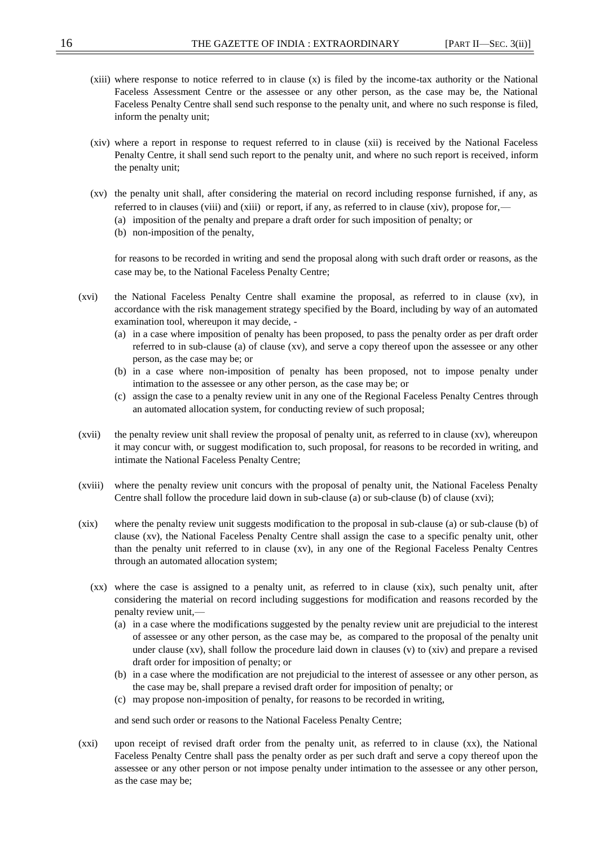- (xiii) where response to notice referred to in clause (x) is filed by the income-tax authority or the National Faceless Assessment Centre or the assessee or any other person, as the case may be, the National Faceless Penalty Centre shall send such response to the penalty unit, and where no such response is filed, inform the penalty unit;
- (xiv) where a report in response to request referred to in clause (xii) is received by the National Faceless Penalty Centre, it shall send such report to the penalty unit, and where no such report is received, inform the penalty unit;
- (xv) the penalty unit shall, after considering the material on record including response furnished, if any, as referred to in clauses (viii) and (xiii) or report, if any, as referred to in clause (xiv), propose for,––
	- (a) imposition of the penalty and prepare a draft order for such imposition of penalty; or
	- (b) non-imposition of the penalty,

for reasons to be recorded in writing and send the proposal along with such draft order or reasons, as the case may be, to the National Faceless Penalty Centre;

- (xvi) the National Faceless Penalty Centre shall examine the proposal, as referred to in clause (xv), in accordance with the risk management strategy specified by the Board, including by way of an automated examination tool, whereupon it may decide, -
	- (a) in a case where imposition of penalty has been proposed, to pass the penalty order as per draft order referred to in sub-clause (a) of clause (xv), and serve a copy thereof upon the assessee or any other person, as the case may be; or
	- (b) in a case where non-imposition of penalty has been proposed, not to impose penalty under intimation to the assessee or any other person, as the case may be; or
	- (c) assign the case to a penalty review unit in any one of the Regional Faceless Penalty Centres through an automated allocation system, for conducting review of such proposal;
- (xvii) the penalty review unit shall review the proposal of penalty unit, as referred to in clause (xv), whereupon it may concur with, or suggest modification to, such proposal, for reasons to be recorded in writing, and intimate the National Faceless Penalty Centre;
- (xviii) where the penalty review unit concurs with the proposal of penalty unit, the National Faceless Penalty Centre shall follow the procedure laid down in sub-clause (a) or sub-clause (b) of clause (xvi);
- (xix) where the penalty review unit suggests modification to the proposal in sub-clause (a) or sub-clause (b) of clause (xv), the National Faceless Penalty Centre shall assign the case to a specific penalty unit, other than the penalty unit referred to in clause (xv), in any one of the Regional Faceless Penalty Centres through an automated allocation system;
	- (xx) where the case is assigned to a penalty unit, as referred to in clause (xix), such penalty unit, after considering the material on record including suggestions for modification and reasons recorded by the penalty review unit,—
		- (a) in a case where the modifications suggested by the penalty review unit are prejudicial to the interest of assessee or any other person, as the case may be, as compared to the proposal of the penalty unit under clause (xv), shall follow the procedure laid down in clauses (v) to (xiv) and prepare a revised draft order for imposition of penalty; or
		- (b) in a case where the modification are not prejudicial to the interest of assessee or any other person, as the case may be, shall prepare a revised draft order for imposition of penalty; or
		- (c) may propose non-imposition of penalty, for reasons to be recorded in writing,

and send such order or reasons to the National Faceless Penalty Centre;

(xxi) upon receipt of revised draft order from the penalty unit, as referred to in clause (xx), the National Faceless Penalty Centre shall pass the penalty order as per such draft and serve a copy thereof upon the assessee or any other person or not impose penalty under intimation to the assessee or any other person, as the case may be;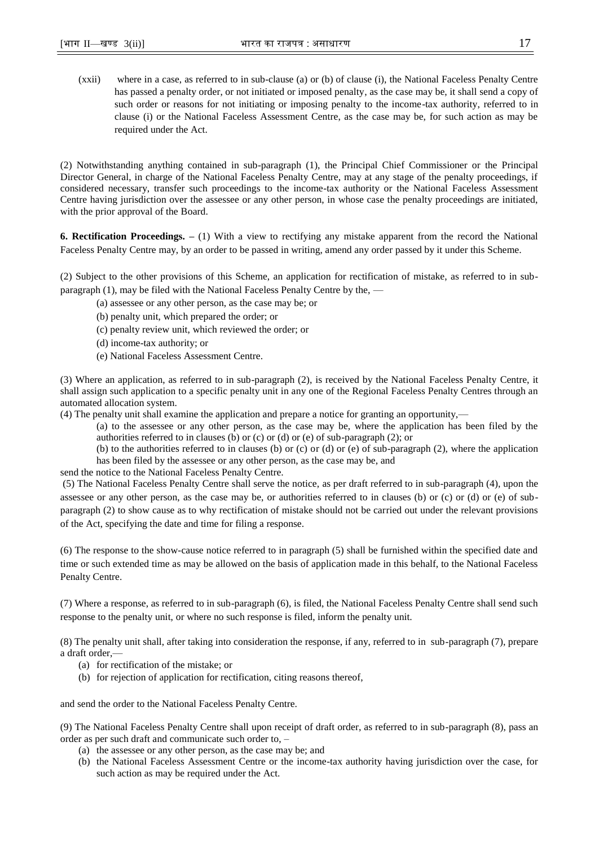(xxii) where in a case, as referred to in sub-clause (a) or (b) of clause (i), the National Faceless Penalty Centre has passed a penalty order, or not initiated or imposed penalty, as the case may be, it shall send a copy of such order or reasons for not initiating or imposing penalty to the income-tax authority, referred to in clause (i) or the National Faceless Assessment Centre, as the case may be, for such action as may be required under the Act.

(2) Notwithstanding anything contained in sub-paragraph (1), the Principal Chief Commissioner or the Principal Director General, in charge of the National Faceless Penalty Centre, may at any stage of the penalty proceedings, if considered necessary, transfer such proceedings to the income-tax authority or the National Faceless Assessment Centre having jurisdiction over the assessee or any other person, in whose case the penalty proceedings are initiated, with the prior approval of the Board.

**6. Rectification Proceedings. –** (1) With a view to rectifying any mistake apparent from the record the National Faceless Penalty Centre may, by an order to be passed in writing, amend any order passed by it under this Scheme.

(2) Subject to the other provisions of this Scheme, an application for rectification of mistake, as referred to in subparagraph (1), may be filed with the National Faceless Penalty Centre by the, —

(a) assessee or any other person, as the case may be; or

- (b) penalty unit, which prepared the order; or
- (c) penalty review unit, which reviewed the order; or
- (d) income-tax authority; or
- (e) National Faceless Assessment Centre.

(3) Where an application, as referred to in sub-paragraph (2), is received by the National Faceless Penalty Centre, it shall assign such application to a specific penalty unit in any one of the Regional Faceless Penalty Centres through an automated allocation system.

(4) The penalty unit shall examine the application and prepare a notice for granting an opportunity,—

(a) to the assessee or any other person, as the case may be, where the application has been filed by the authorities referred to in clauses (b) or (c) or (d) or (e) of sub-paragraph (2); or

(b) to the authorities referred to in clauses (b) or (c) or (d) or (e) of sub-paragraph (2), where the application has been filed by the assessee or any other person, as the case may be, and

send the notice to the National Faceless Penalty Centre.

(5) The National Faceless Penalty Centre shall serve the notice, as per draft referred to in sub-paragraph (4), upon the assessee or any other person, as the case may be, or authorities referred to in clauses (b) or (c) or (d) or (e) of subparagraph (2) to show cause as to why rectification of mistake should not be carried out under the relevant provisions of the Act, specifying the date and time for filing a response.

(6) The response to the show-cause notice referred to in paragraph (5) shall be furnished within the specified date and time or such extended time as may be allowed on the basis of application made in this behalf, to the National Faceless Penalty Centre.

(7) Where a response, as referred to in sub-paragraph (6), is filed, the National Faceless Penalty Centre shall send such response to the penalty unit, or where no such response is filed, inform the penalty unit.

(8) The penalty unit shall, after taking into consideration the response, if any, referred to in sub-paragraph (7), prepare a draft order,––

- (a) for rectification of the mistake; or
- (b) for rejection of application for rectification, citing reasons thereof,

and send the order to the National Faceless Penalty Centre.

(9) The National Faceless Penalty Centre shall upon receipt of draft order, as referred to in sub-paragraph (8), pass an order as per such draft and communicate such order to, –

- (a) the assessee or any other person, as the case may be; and
- (b) the National Faceless Assessment Centre or the income-tax authority having jurisdiction over the case, for such action as may be required under the Act.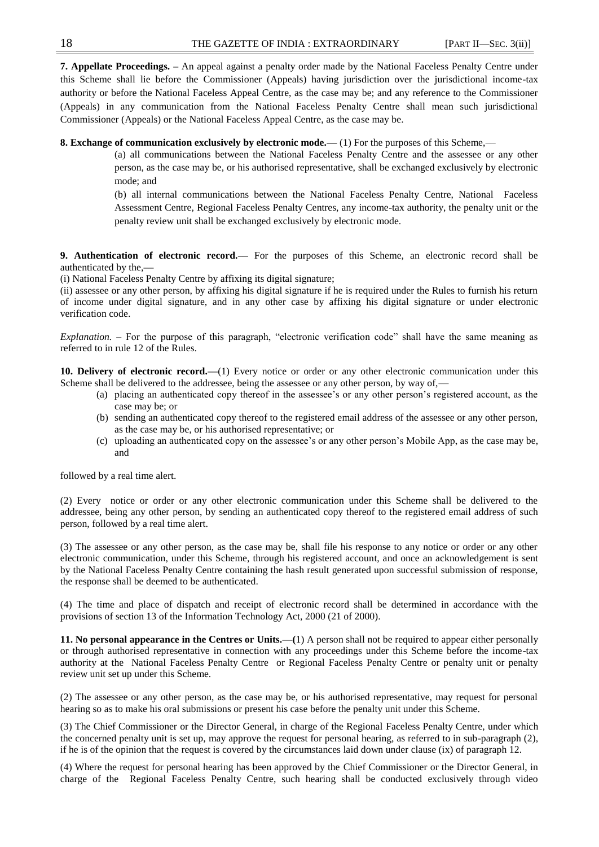**7. Appellate Proceedings. –** An appeal against a penalty order made by the National Faceless Penalty Centre under this Scheme shall lie before the Commissioner (Appeals) having jurisdiction over the jurisdictional income-tax authority or before the National Faceless Appeal Centre, as the case may be; and any reference to the Commissioner (Appeals) in any communication from the National Faceless Penalty Centre shall mean such jurisdictional Commissioner (Appeals) or the National Faceless Appeal Centre, as the case may be.

# **8. Exchange of communication exclusively by electronic mode.**—(1) For the purposes of this Scheme,—

(a) all communications between the National Faceless Penalty Centre and the assessee or any other person, as the case may be, or his authorised representative, shall be exchanged exclusively by electronic mode; and

(b) all internal communications between the National Faceless Penalty Centre, National Faceless Assessment Centre, Regional Faceless Penalty Centres, any income-tax authority, the penalty unit or the penalty review unit shall be exchanged exclusively by electronic mode.

**9. Authentication of electronic record.**—— For the purposes of this Scheme, an electronic record shall be authenticated by the,**––**

(i) National Faceless Penalty Centre by affixing its digital signature;

(ii) assessee or any other person, by affixing his digital signature if he is required under the Rules to furnish his return of income under digital signature, and in any other case by affixing his digital signature or under electronic verification code.

*Explanation.* – For the purpose of this paragraph, "electronic verification code" shall have the same meaning as referred to in rule 12 of the Rules.

**10. Delivery of electronic record.—**(1) Every notice or order or any other electronic communication under this Scheme shall be delivered to the addressee, being the assessee or any other person, by way of,––

- (a) placing an authenticated copy thereof in the assessee's or any other person's registered account, as the case may be; or
- (b) sending an authenticated copy thereof to the registered email address of the assessee or any other person, as the case may be, or his authorised representative; or
- (c) uploading an authenticated copy on the assessee's or any other person's Mobile App, as the case may be, and

followed by a real time alert.

(2) Every notice or order or any other electronic communication under this Scheme shall be delivered to the addressee, being any other person, by sending an authenticated copy thereof to the registered email address of such person, followed by a real time alert.

(3) The assessee or any other person, as the case may be, shall file his response to any notice or order or any other electronic communication, under this Scheme, through his registered account, and once an acknowledgement is sent by the National Faceless Penalty Centre containing the hash result generated upon successful submission of response, the response shall be deemed to be authenticated.

(4) The time and place of dispatch and receipt of electronic record shall be determined in accordance with the provisions of section 13 of the Information Technology Act, 2000 (21 of 2000).

**11. No personal appearance in the Centres or Units.––(**1) A person shall not be required to appear either personally or through authorised representative in connection with any proceedings under this Scheme before the income-tax authority at the National Faceless Penalty Centre or Regional Faceless Penalty Centre or penalty unit or penalty review unit set up under this Scheme.

(2) The assessee or any other person, as the case may be, or his authorised representative, may request for personal hearing so as to make his oral submissions or present his case before the penalty unit under this Scheme.

(3) The Chief Commissioner or the Director General, in charge of the Regional Faceless Penalty Centre, under which the concerned penalty unit is set up, may approve the request for personal hearing, as referred to in sub-paragraph (2), if he is of the opinion that the request is covered by the circumstances laid down under clause (ix) of paragraph 12.

(4) Where the request for personal hearing has been approved by the Chief Commissioner or the Director General, in charge of the Regional Faceless Penalty Centre, such hearing shall be conducted exclusively through video